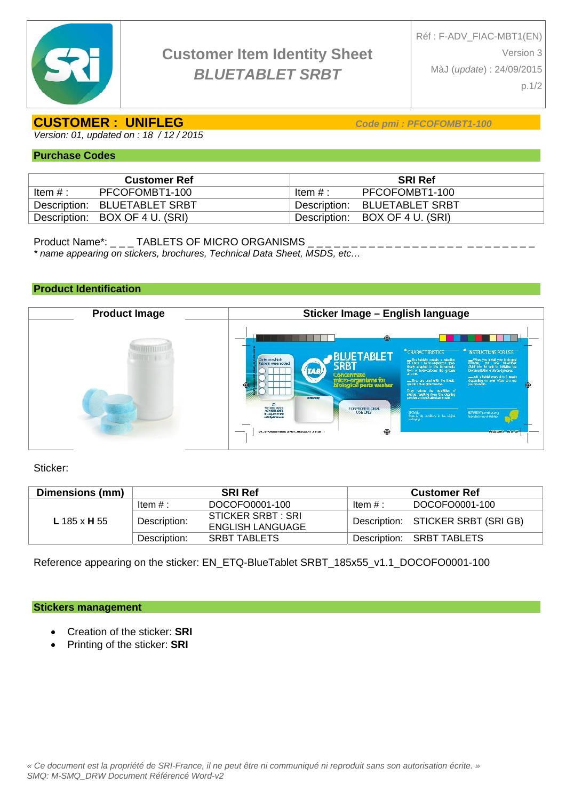

# **CUSTOMER : UNIFLEG** *Code pmi : PFCOFOMBT1-100*

*Version: 01, updated on : 18 / 12 / 2015* 

#### **Purchase Codes**

|           | <b>Customer Ref</b>            | <b>SRI Ref</b> |                                |  |  |  |
|-----------|--------------------------------|----------------|--------------------------------|--|--|--|
| Item $#:$ | PFCOFOMBT1-100                 | Item $\#$ :    | PFCOFOMBT1-100                 |  |  |  |
|           | Description: BLUETABLET SRBT   |                | Description: BLUETABLET SRBT   |  |  |  |
|           | Description: BOX OF 4 U. (SRI) |                | Description: BOX OF 4 U. (SRI) |  |  |  |

Product Name\*: \_ \_ \_ TABLETS OF MICRO ORGANISMS \_

*\* name appearing on stickers, brochures, Technical Data Sheet, MSDS, etc…* 

## **Product Identification**



Sticker:

| Dimensions (mm) | <b>SRI Ref</b> |                                        | <b>Customer Ref</b> |                                    |
|-----------------|----------------|----------------------------------------|---------------------|------------------------------------|
|                 | Item $#:$      | DOCOFO0001-100                         | Item $#$ :          | DOCOFO0001-100                     |
| L 185 x H 55    | Description:   | STICKER SRBT : SRI<br>ENGLISH LANGUAGE |                     | Description: STICKER SRBT (SRI GB) |
|                 | Description:   | <b>SRBT TABLETS</b>                    | Description:        | SRBT TABLETS                       |

Reference appearing on the sticker: EN\_ETQ-BlueTablet SRBT\_185x55\_v1.1\_DOCOFO0001-100

#### **Stickers management**

- Creation of the sticker: **SRI**
- Printing of the sticker: **SRI**